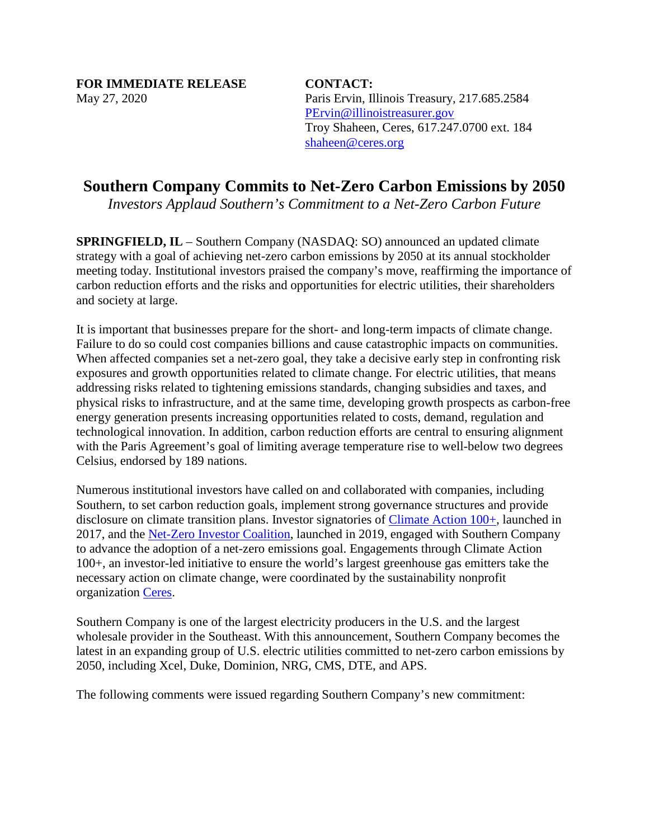May 27, 2020 **FOR IMMEDIATE RELEASE CONTACT:** 

Paris Ervin, Illinois Treasury, 217.685.2584 [PErvin@illinoistreasurer.gov](mailto:PErvin@illinoistreasurer.gov)  Troy Shaheen, Ceres, 617.247.0700 ext. 184 [shaheen@ceres.org](mailto:shaheen@ceres.org) 

# **Southern Company Commits to Net-Zero Carbon Emissions by 2050**

*Investors Applaud Southern's Commitment to a Net-Zero Carbon Future* 

 **SPRINGFIELD, IL** – Southern Company (NASDAQ: SO) announced an updated climate strategy with a goal of achieving net-zero carbon emissions by 2050 at its annual stockholder meeting today. Institutional investors praised the company's move, reaffirming the importance of carbon reduction efforts and the risks and opportunities for electric utilities, their shareholders and society at large.

 technological innovation. In addition, carbon reduction efforts are central to ensuring alignment It is important that businesses prepare for the short- and long-term impacts of climate change. Failure to do so could cost companies billions and cause catastrophic impacts on communities. When affected companies set a net-zero goal, they take a decisive early step in confronting risk exposures and growth opportunities related to climate change. For electric utilities, that means addressing risks related to tightening emissions standards, changing subsidies and taxes, and physical risks to infrastructure, and at the same time, developing growth prospects as carbon-free energy generation presents increasing opportunities related to costs, demand, regulation and with the Paris Agreement's goal of limiting average temperature rise to well-below two degrees Celsius, endorsed by 189 nations.

disclosure on climate transition plans. Investor signatories of *Climate Action 100+*, launched in to advance the adoption of a net-zero emissions goal. Engagements through Climate Action necessary action on climate change, were coordinated by the sustainability nonprofit Numerous institutional investors have called on and collaborated with companies, including Southern, to set carbon reduction goals, implement strong governance structures and provide 2017, and the [Net-Zero Investor Coalition,](https://www.majorityaction.us/netzero) launched in 2019, engaged with Southern Company 100+, an investor-led initiative to ensure the world's largest greenhouse gas emitters take the organization [Ceres.](https://www.ceres.org/)

 wholesale provider in the Southeast. With this announcement, Southern Company becomes the Southern Company is one of the largest electricity producers in the U.S. and the largest latest in an expanding group of U.S. electric utilities committed to net-zero carbon emissions by 2050, including Xcel, Duke, Dominion, NRG, CMS, DTE, and APS.

The following comments were issued regarding Southern Company's new commitment: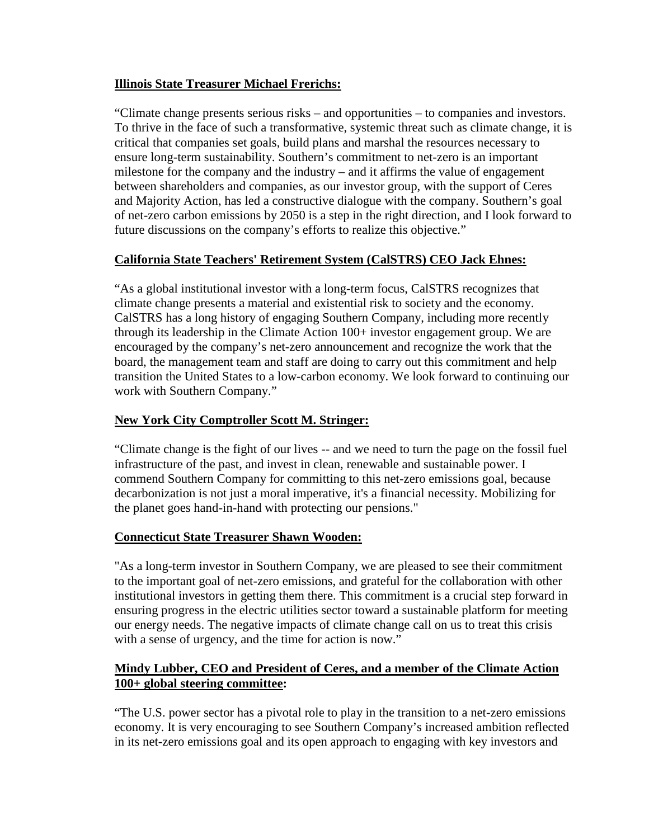## **Illinois State Treasurer Michael Frerichs:**

 "Climate change presents serious risks – and opportunities – to companies and investors. critical that companies set goals, build plans and marshal the resources necessary to milestone for the company and the industry – and it affirms the value of engagement and Majority Action, has led a constructive dialogue with the company. Southern's goal To thrive in the face of such a transformative, systemic threat such as climate change, it is ensure long-term sustainability. Southern's commitment to net-zero is an important between shareholders and companies, as our investor group, with the support of Ceres of net-zero carbon emissions by 2050 is a step in the right direction, and I look forward to future discussions on the company's efforts to realize this objective."

# **California State Teachers' Retirement System (CalSTRS) CEO Jack Ehnes:**

"As a global institutional investor with a long-term focus, CalSTRS recognizes that climate change presents a material and existential risk to society and the economy. CalSTRS has a long history of engaging Southern Company, including more recently through its leadership in the Climate Action 100+ investor engagement group. We are encouraged by the company's net-zero announcement and recognize the work that the board, the management team and staff are doing to carry out this commitment and help transition the United States to a low-carbon economy. We look forward to continuing our work with Southern Company."

# **New York City Comptroller Scott M. Stringer:**

 "Climate change is the fight of our lives -- and we need to turn the page on the fossil fuel infrastructure of the past, and invest in clean, renewable and sustainable power. I commend Southern Company for committing to this net-zero emissions goal, because decarbonization is not just a moral imperative, it's a financial necessity. Mobilizing for the planet goes hand-in-hand with protecting our pensions."

## **Connecticut State Treasurer Shawn Wooden:**

"As a long-term investor in Southern Company, we are pleased to see their commitment to the important goal of net-zero emissions, and grateful for the collaboration with other institutional investors in getting them there. This commitment is a crucial step forward in ensuring progress in the electric utilities sector toward a sustainable platform for meeting our energy needs. The negative impacts of climate change call on us to treat this crisis with a sense of urgency, and the time for action is now."

# **Mindy Lubber, CEO and President of Ceres, and a member of the Climate Action 100+ global steering committee:**

"The U.S. power sector has a pivotal role to play in the transition to a net-zero emissions economy. It is very encouraging to see Southern Company's increased ambition reflected in its net-zero emissions goal and its open approach to engaging with key investors and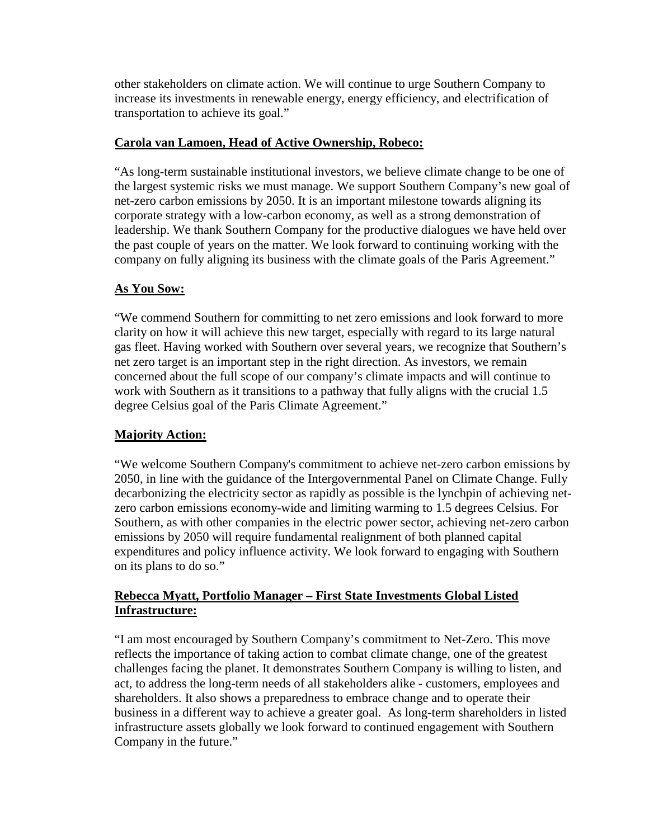other stakeholders on climate action. We will continue to urge Southern Company to increase its investments in renewable energy, energy efficiency, and electrification of transportation to achieve its goal."

#### **Carola van Lamoen, Head of Active Ownership, Robeco:**

 the largest systemic risks we must manage. We support Southern Company's new goal of leadership. We thank Southern Company for the productive dialogues we have held over "As long-term sustainable institutional investors, we believe climate change to be one of net-zero carbon emissions by 2050. It is an important milestone towards aligning its corporate strategy with a low-carbon economy, as well as a strong demonstration of the past couple of years on the matter. We look forward to continuing working with the company on fully aligning its business with the climate goals of the Paris Agreement."

## **As You Sow:**

 concerned about the full scope of our company's climate impacts and will continue to "We commend Southern for committing to net zero emissions and look forward to more clarity on how it will achieve this new target, especially with regard to its large natural gas fleet. Having worked with Southern over several years, we recognize that Southern's net zero target is an important step in the right direction. As investors, we remain work with Southern as it transitions to a pathway that fully aligns with the crucial 1.5 degree Celsius goal of the Paris Climate Agreement."

## **Majority Action:**

 zero carbon emissions economy-wide and limiting warming to 1.5 degrees Celsius. For "We welcome Southern Company's commitment to achieve net-zero carbon emissions by 2050, in line with the guidance of the Intergovernmental Panel on Climate Change. Fully decarbonizing the electricity sector as rapidly as possible is the lynchpin of achieving net-Southern, as with other companies in the electric power sector, achieving net-zero carbon emissions by 2050 will require fundamental realignment of both planned capital expenditures and policy influence activity. We look forward to engaging with Southern on its plans to do so."

## **Rebecca Myatt, Portfolio Manager – First State Investments Global Listed Infrastructure:**

 business in a different way to achieve a greater goal. As long-term shareholders in listed "I am most encouraged by Southern Company's commitment to Net-Zero. This move reflects the importance of taking action to combat climate change, one of the greatest challenges facing the planet. It demonstrates Southern Company is willing to listen, and act, to address the long-term needs of all stakeholders alike - customers, employees and shareholders. It also shows a preparedness to embrace change and to operate their infrastructure assets globally we look forward to continued engagement with Southern Company in the future."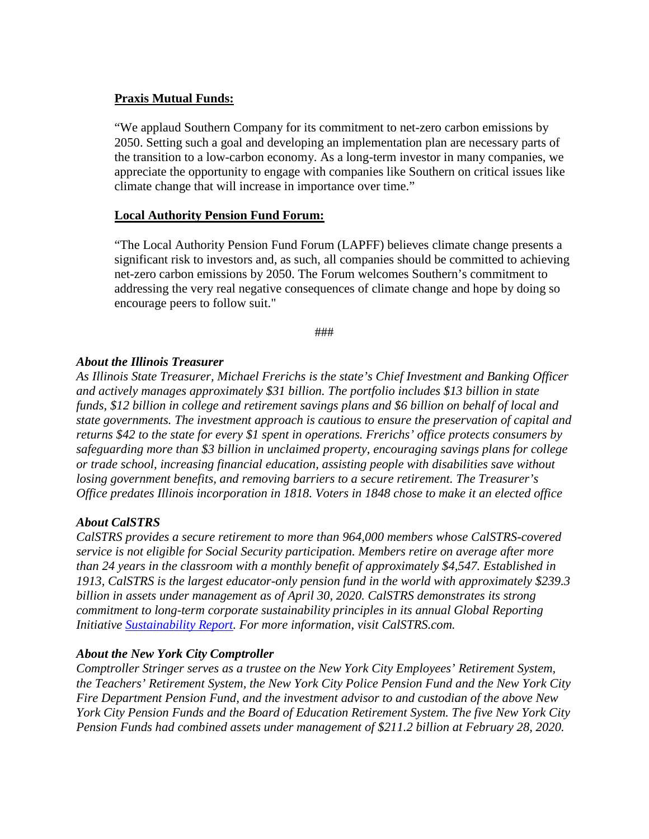## **Praxis Mutual Funds:**

"We applaud Southern Company for its commitment to net-zero carbon emissions by 2050. Setting such a goal and developing an implementation plan are necessary parts of the transition to a low-carbon economy. As a long-term investor in many companies, we appreciate the opportunity to engage with companies like Southern on critical issues like climate change that will increase in importance over time."

## **Local Authority Pension Fund Forum:**

 encourage peers to follow suit." "The Local Authority Pension Fund Forum (LAPFF) believes climate change presents a significant risk to investors and, as such, all companies should be committed to achieving net-zero carbon emissions by 2050. The Forum welcomes Southern's commitment to addressing the very real negative consequences of climate change and hope by doing so

###

## *About the Illinois Treasurer*

*As Illinois State Treasurer, Michael Frerichs is the state's Chief Investment and Banking Officer and actively manages approximately \$31 billion. The portfolio includes \$13 billion in state funds, \$12 billion in college and retirement savings plans and \$6 billion on behalf of local and state governments. The investment approach is cautious to ensure the preservation of capital and returns \$42 to the state for every \$1 spent in operations. Frerichs' office protects consumers by safeguarding more than \$3 billion in unclaimed property, encouraging savings plans for college or trade school, increasing financial education, assisting people with disabilities save without losing government benefits, and removing barriers to a secure retirement. The Treasurer's Office predates Illinois incorporation in 1818. Voters in 1848 chose to make it an elected office* 

## *About CalSTRS*

*CalSTRS provides a secure retirement to more than 964,000 members whose CalSTRS-covered service is not eligible for Social Security participation. Members retire on average after more than 24 years in the classroom with a monthly benefit of approximately \$4,547. Established in 1913, CalSTRS is the largest educator-only pension fund in the world with approximately \$239.3 billion in assets under management as of April 30, 2020. CalSTRS demonstrates its strong commitment to long-term corporate sustainability principles in its annual Global Reporting Initiative [Sustainability Report.](https://www.calstrs.com/2018-19-sustainability-report) For more information, visit [CalSTRS.com.](https://CalSTRS.com)* 

## *About the New York City Comptroller*

*Comptroller Stringer serves as a trustee on the New York City Employees' Retirement System, the Teachers' Retirement System, the New York City Police Pension Fund and the New York City Fire Department Pension Fund, and the investment advisor to and custodian of the above New York City Pension Funds and the Board of Education Retirement System. The five New York City Pension Funds had combined assets under management of \$211.2 billion at February 28, 2020.*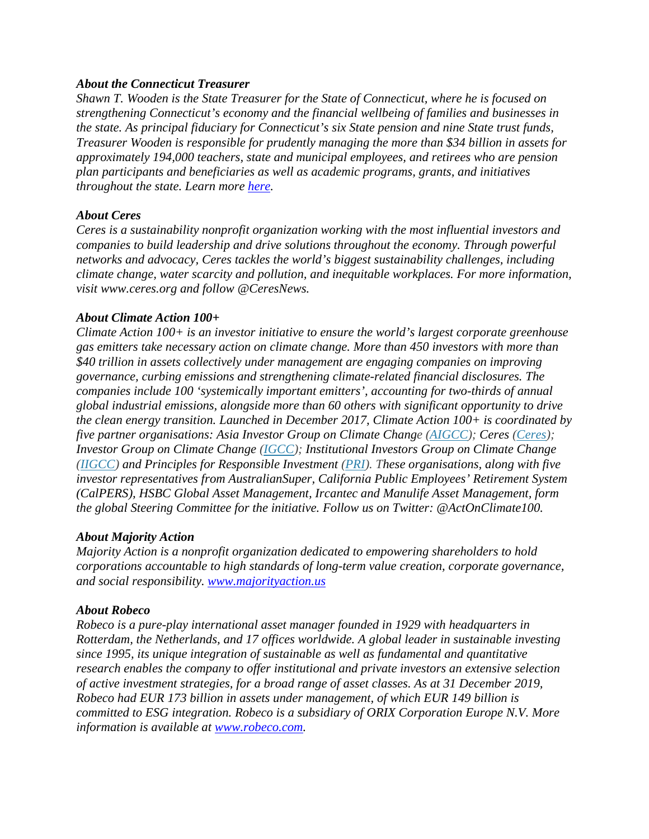#### *About the Connecticut Treasurer*

 *throughout the state. Learn more [here.](https://urldefense.proofpoint.com/v2/url?u=https-3A__portal.ct.gov_OTT_About-2Dthe-2DTreasury_Overview&d=DwMGaQ&c=euGZstcaTDllvimEN8b7jXrwqOf-v5A_CdpgnVfiiMM&r=-qdOtDFIZCQnHwe0xdc8P4iH6Ndpm80kLBkQ90CxxiE&m=f1RhzHqHdS8CualwKxLkUaGUutJtVvrJU1maAaFaFds&s=st65JyyyX71YO-ju0W7tBE-nSDd_dWRdOZcplzrS8_Q&e=) Shawn T. Wooden is the State Treasurer for the State of Connecticut, where he is focused on strengthening Connecticut's economy and the financial wellbeing of families and businesses in the state. As principal fiduciary for Connecticut's six State pension and nine State trust funds, Treasurer Wooden is responsible for prudently managing the more than \$34 billion in assets for approximately 194,000 teachers, state and municipal employees, and retirees who are pension plan participants and beneficiaries as well as academic programs, grants, and initiatives* 

#### *About Ceres*

*Ceres is a sustainability nonprofit organization working with the most influential investors and companies to build leadership and drive solutions throughout the economy. Through powerful networks and advocacy, Ceres tackles the world's biggest sustainability challenges, including climate change, water scarcity and pollution, and inequitable workplaces. For more information, visit<www.ceres.org> and follow @CeresNews.* 

#### *About Climate Action 100+*

*Climate Action 100+ is an investor initiative to ensure the world's largest corporate greenhouse gas emitters take necessary action on climate change. More than 450 investors with more than \$40 trillion in assets collectively under management are engaging companies on improving governance, curbing emissions and strengthening climate-related financial disclosures. The companies include 100 'systemically important emitters', accounting for two-thirds of annual global industrial emissions, alongside more than 60 others with significant opportunity to drive the clean energy transition. Launched in December 2017, Climate Action 100+ is coordinated by five partner organisations: Asia Investor Group on Climate Change [\(AIGCC\)](https://www.aigcc.net/); Ceres [\(Ceres\)](https://www.ceres.org/); Investor Group on Climate Change [\(IGCC\)](https://igcc.org.au/); Institutional Investors Group on Climate Change [\(IIGCC\)](https://www.iigcc.org/news/leading-investors-welcome-bp-backing-of-shareholder-resolution-on-climate-change/) and Principles for Responsible Investment [\(PRI\)](https://www.unpri.org/). These organisations, along with five investor representatives from AustralianSuper, California Public Employees' Retirement System (CalPERS), HSBC Global Asset Management, Ircantec and Manulife Asset Management, form the global Steering Committee for the initiative. Follow us on Twitter: @ActOnClimate100.* 

#### *About Majority Action*

*Majority Action is a nonprofit organization dedicated to empowering shareholders to hold corporations accountable to high standards of long-term value creation, corporate governance, and social responsibility. [www.majorityaction.us](http://www.majorityaction.us/)* 

#### *About Robeco*

 *information is available at [www.robeco.com.](http://www.robeco.com/) Robeco is a pure-play international asset manager founded in 1929 with headquarters in Rotterdam, the Netherlands, and 17 offices worldwide. A global leader in sustainable investing since 1995, its unique integration of sustainable as well as fundamental and quantitative research enables the company to offer institutional and private investors an extensive selection of active investment strategies, for a broad range of asset classes. As at 31 December 2019, Robeco had EUR 173 billion in assets under management, of which EUR 149 billion is committed to ESG integration. Robeco is a subsidiary of ORIX Corporation Europe N.V. More*